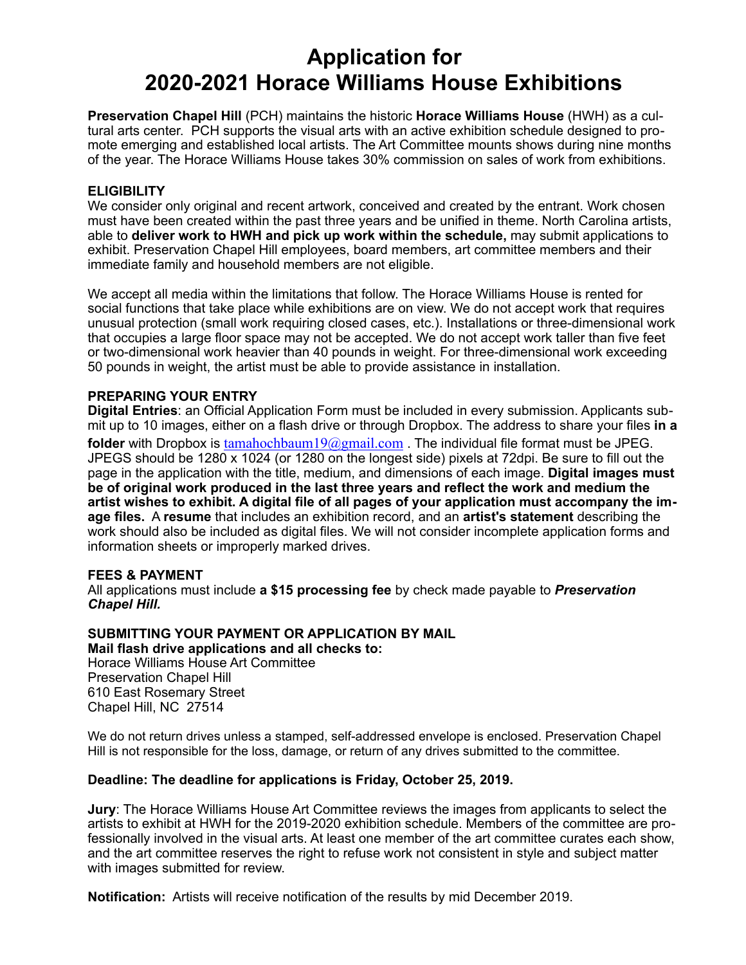# **Application for 2020-2021 Horace Williams House Exhibitions**

**Preservation Chapel Hill** (PCH) maintains the historic **Horace Williams House** (HWH) as a cultural arts center. PCH supports the visual arts with an active exhibition schedule designed to promote emerging and established local artists. The Art Committee mounts shows during nine months of the year. The Horace Williams House takes 30% commission on sales of work from exhibitions.

### **ELIGIBILITY**

We consider only original and recent artwork, conceived and created by the entrant. Work chosen must have been created within the past three years and be unified in theme. North Carolina artists, able to **deliver work to HWH and pick up work within the schedule,** may submit applications to exhibit. Preservation Chapel Hill employees, board members, art committee members and their immediate family and household members are not eligible.

We accept all media within the limitations that follow. The Horace Williams House is rented for social functions that take place while exhibitions are on view. We do not accept work that requires unusual protection (small work requiring closed cases, etc.). Installations or three-dimensional work that occupies a large floor space may not be accepted. We do not accept work taller than five feet or two-dimensional work heavier than 40 pounds in weight. For three-dimensional work exceeding 50 pounds in weight, the artist must be able to provide assistance in installation.

### **PREPARING YOUR ENTRY**

**Digital Entries**: an Official Application Form must be included in every submission. Applicants submit up to 10 images, either on a flash drive or through Dropbox. The address to share your files **in a folder** with Dropbox is [tamahochbaum19@gmail.com](mailto:tamahochbaum19@gmail.com) . The individual file format must be JPEG. JPEGS should be 1280 x 1024 (or 1280 on the longest side) pixels at 72dpi. Be sure to fill out the page in the application with the title, medium, and dimensions of each image. **Digital images must be of original work produced in the last three years and reflect the work and medium the artist wishes to exhibit. A digital file of all pages of your application must accompany the image files.** A **resume** that includes an exhibition record, and an **artist's statement** describing the work should also be included as digital files. We will not consider incomplete application forms and information sheets or improperly marked drives.

### **FEES & PAYMENT**

All applications must include **a \$15 processing fee** by check made payable to *Preservation Chapel Hill.*

#### **SUBMITTING YOUR PAYMENT OR APPLICATION BY MAIL Mail flash drive applications and all checks to:**

Horace Williams House Art Committee Preservation Chapel Hill 610 East Rosemary Street Chapel Hill, NC 27514

We do not return drives unless a stamped, self-addressed envelope is enclosed. Preservation Chapel Hill is not responsible for the loss, damage, or return of any drives submitted to the committee.

### **Deadline: The deadline for applications is Friday, October 25, 2019.**

**Jury**: The Horace Williams House Art Committee reviews the images from applicants to select the artists to exhibit at HWH for the 2019-2020 exhibition schedule. Members of the committee are professionally involved in the visual arts. At least one member of the art committee curates each show, and the art committee reserves the right to refuse work not consistent in style and subject matter with images submitted for review.

**Notification:** Artists will receive notification of the results by mid December 2019.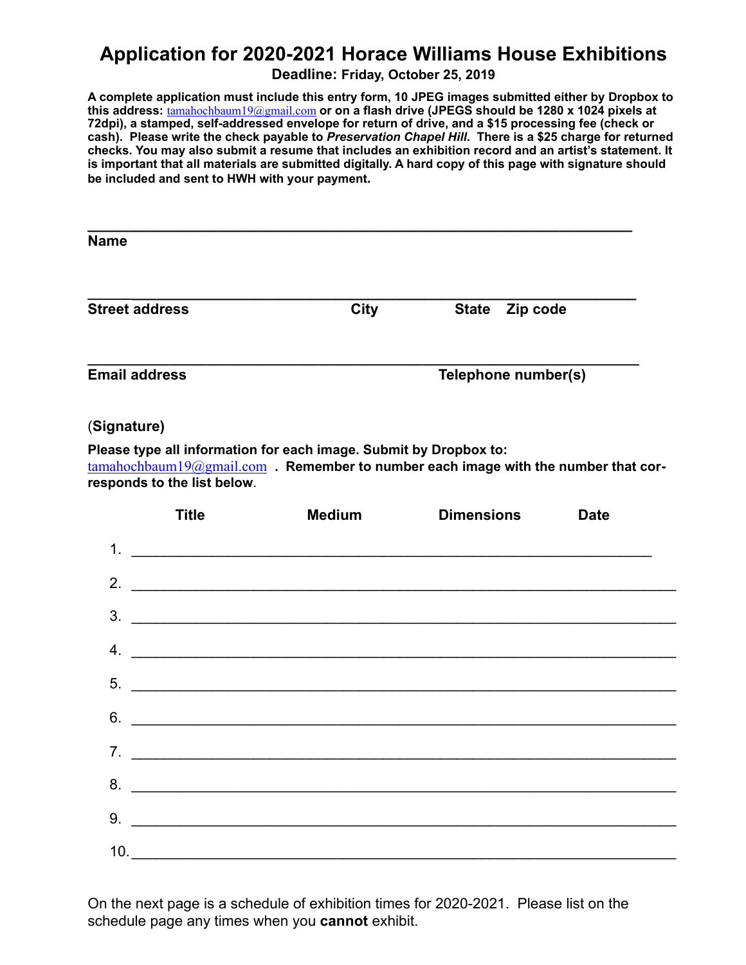# **Application for 2020-2021 Horace Williams House Exhibitions**

**Deadline: Friday, October 25, 2019**

**A complete application must include this entry form, 10 JPEG images submitted either by Dropbox to this address:** [tamahochbaum19@gmail.com](mailto:tamahochbaum19@gmail.com) **or on a flash drive (JPEGS should be 1280 x 1024 pixels at 72dpi), a stamped, self-addressed envelope for return of drive, and a \$15 processing fee (check or cash). Please write the check payable to** *Preservation Chapel Hill***. There is a \$25 charge for returned checks. You may also submit a resume that includes an exhibition record and an artist's statement. It is important that all materials are submitted digitally. A hard copy of this page with signature should be included and sent to HWH with your payment.** 

| <b>Name</b>           |                     |                          |
|-----------------------|---------------------|--------------------------|
| <b>Street address</b> | <b>City</b>         | <b>State</b><br>Zip code |
| <b>Email address</b>  | Telephone number(s) |                          |

## (**Signature)**

**Please type all information for each image. Submit by Dropbox to:**  [tamahochbaum19@gmail.com](mailto:tamahochbaum19@gmail.com) **. Remember to number each image with the number that corresponds to the list below**.

|    | <b>Title</b> | <b>Medium</b>                                                                                                        | <b>Dimensions</b>                                                                                                     | <b>Date</b> |
|----|--------------|----------------------------------------------------------------------------------------------------------------------|-----------------------------------------------------------------------------------------------------------------------|-------------|
|    |              |                                                                                                                      |                                                                                                                       |             |
| 2. |              |                                                                                                                      |                                                                                                                       |             |
| 3. |              |                                                                                                                      | <u> 1989 - Jan Samuel Barbara, margaret e popularista e popularista e popularista e popularista e popularista e p</u> |             |
| 4. |              | <u> 1980 - Jan James James Barnett, martin de la política de la propia de la propia de la propia de la propia de</u> |                                                                                                                       |             |
|    |              |                                                                                                                      |                                                                                                                       |             |
|    |              |                                                                                                                      | $6.$ $\overline{\phantom{a}}$                                                                                         |             |
|    |              |                                                                                                                      | 7.                                                                                                                    |             |
|    |              |                                                                                                                      |                                                                                                                       |             |
| 9. |              | <u> 1980 - Andrea Andrewski, fransk politik (d. 1980)</u>                                                            |                                                                                                                       |             |
|    |              |                                                                                                                      |                                                                                                                       |             |

On the next page is a schedule of exhibition times for 2020-2021. Please list on the schedule page any times when you **cannot** exhibit.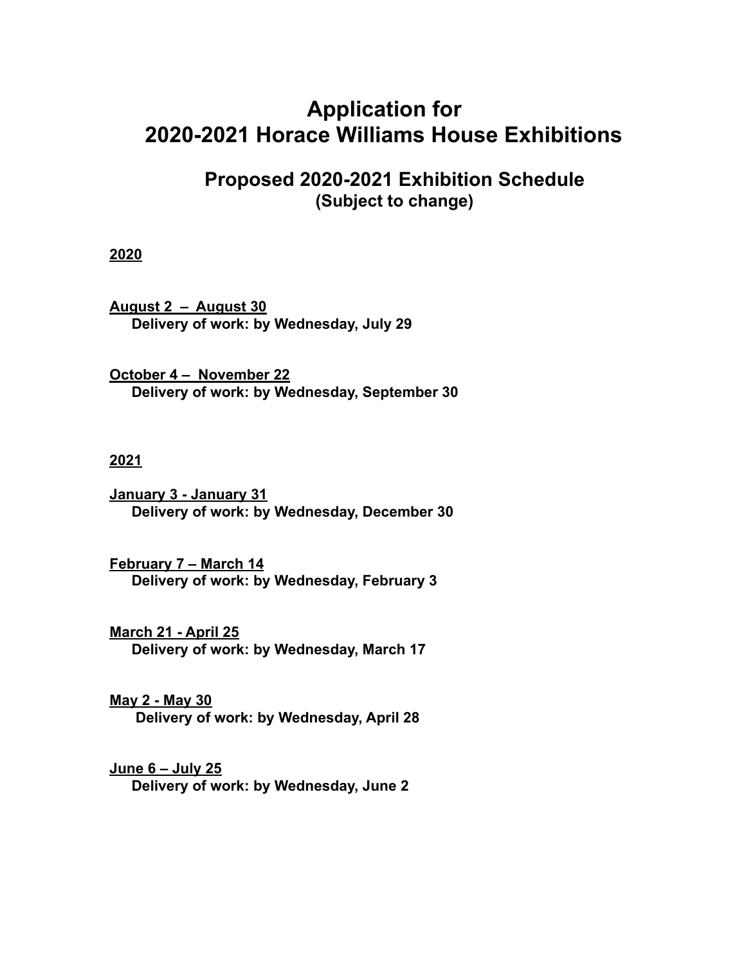# **Application for 2020-2021 Horace Williams House Exhibitions**

# **Proposed 2020-2021 Exhibition Schedule (Subject to change)**

## **2020**

**August 2 – August 30 Delivery of work: by Wednesday, July 29**

**October 4 – November 22 Delivery of work: by Wednesday, September 30** 

### **2021**

**January 3 - January 31 Delivery of work: by Wednesday, December 30** 

**February 7 – March 14 Delivery of work: by Wednesday, February 3** 

**March 21 - April 25 Delivery of work: by Wednesday, March 17** 

**May 2 - May 30 Delivery of work: by Wednesday, April 28**

**June 6 – July 25 Delivery of work: by Wednesday, June 2**